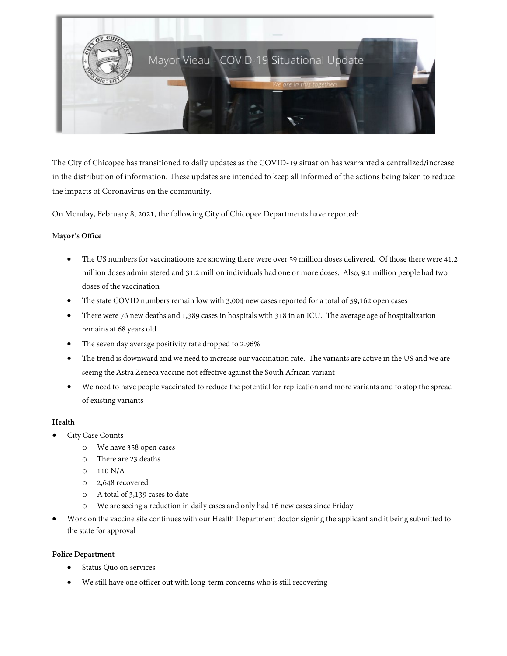

The City of Chicopee has transitioned to daily updates as the COVID-19 situation has warranted a centralized/increase in the distribution of information. These updates are intended to keep all informed of the actions being taken to reduce the impacts of Coronavirus on the community.

On Monday, February 8, 2021, the following City of Chicopee Departments have reported:

## M**ayor's Office**

- The US numbers for vaccinatioons are showing there were over 59 million doses delivered. Of those there were 41.2 million doses administered and 31.2 million individuals had one or more doses. Also, 9.1 million people had two doses of the vaccination
- The state COVID numbers remain low with 3,004 new cases reported for a total of 59,162 open cases
- There were 76 new deaths and 1,389 cases in hospitals with 318 in an ICU. The average age of hospitalization remains at 68 years old
- The seven day average positivity rate dropped to 2.96%
- The trend is downward and we need to increase our vaccination rate. The variants are active in the US and we are seeing the Astra Zeneca vaccine not effective against the South African variant
- We need to have people vaccinated to reduce the potential for replication and more variants and to stop the spread of existing variants

## **Health**

- City Case Counts
	- o We have 358 open cases
	- o There are 23 deaths
	- o 110 N/A
	- o 2,648 recovered
	- o A total of 3,139 cases to date
	- o We are seeing a reduction in daily cases and only had 16 new cases since Friday
- Work on the vaccine site continues with our Health Department doctor signing the applicant and it being submitted to the state for approval

## **Police Department**

- Status Quo on services
- We still have one officer out with long-term concerns who is still recovering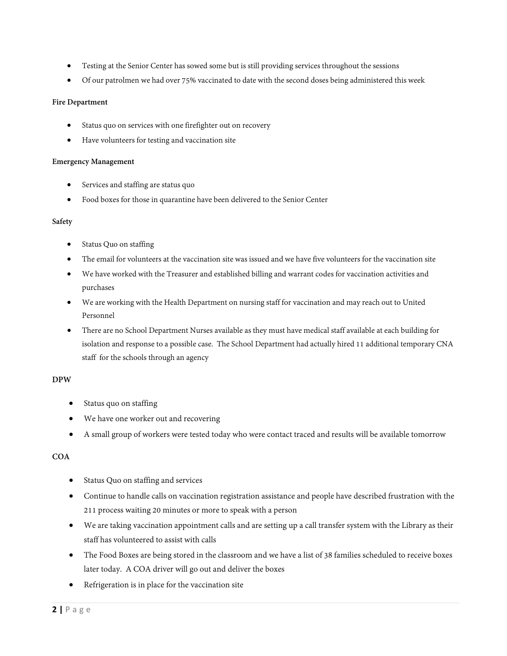- Testing at the Senior Center has sowed some but is still providing services throughout the sessions
- Of our patrolmen we had over 75% vaccinated to date with the second doses being administered this week

# **Fire Department**

- Status quo on services with one firefighter out on recovery
- Have volunteers for testing and vaccination site

#### **Emergency Management**

- Services and staffing are status quo
- Food boxes for those in quarantine have been delivered to the Senior Center

## **Safety**

- Status Quo on staffing
- The email for volunteers at the vaccination site was issued and we have five volunteers for the vaccination site
- We have worked with the Treasurer and established billing and warrant codes for vaccination activities and purchases
- We are working with the Health Department on nursing staff for vaccination and may reach out to United Personnel
- There are no School Department Nurses available as they must have medical staff available at each building for isolation and response to a possible case. The School Department had actually hired 11 additional temporary CNA staff for the schools through an agency

## **DPW**

- Status quo on staffing
- We have one worker out and recovering
- A small group of workers were tested today who were contact traced and results will be available tomorrow

# **COA**

- Status Quo on staffing and services
- Continue to handle calls on vaccination registration assistance and people have described frustration with the 211 process waiting 20 minutes or more to speak with a person
- We are taking vaccination appointment calls and are setting up a call transfer system with the Library as their staff has volunteered to assist with calls
- The Food Boxes are being stored in the classroom and we have a list of 38 families scheduled to receive boxes later today. A COA driver will go out and deliver the boxes
- Refrigeration is in place for the vaccination site